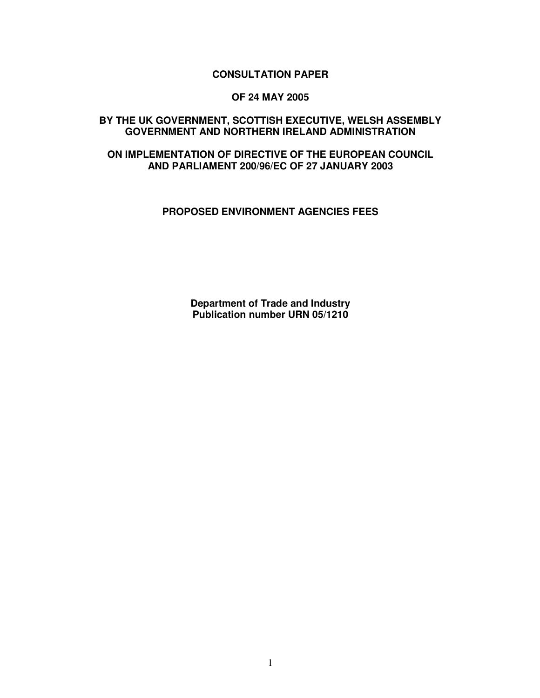# **CONSULTATION PAPER**

### **OF 24 MAY 2005**

## **BY THE UK GOVERNMENT, SCOTTISH EXECUTIVE, WELSH ASSEMBLY GOVERNMENT AND NORTHERN IRELAND ADMINISTRATION**

# **ON IMPLEMENTATION OF DIRECTIVE OF THE EUROPEAN COUNCIL AND PARLIAMENT 200/96/EC OF 27 JANUARY 2003**

### **PROPOSED ENVIRONMENT AGENCIES FEES**

**Department of Trade and Industry Publication number URN 05/1210**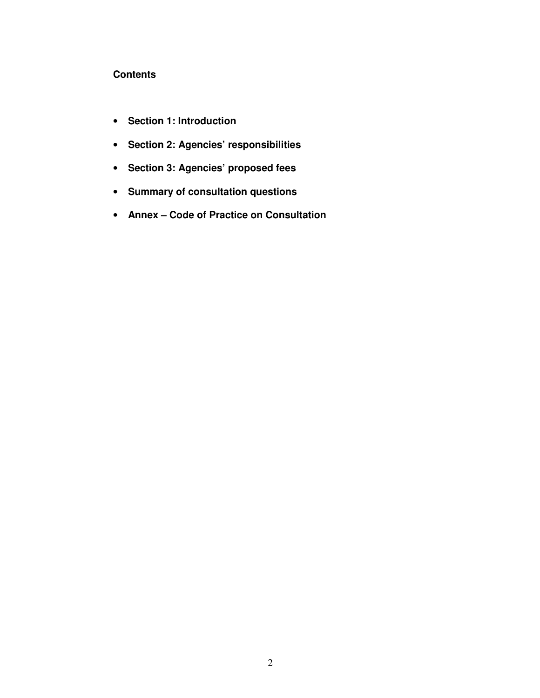# **Contents**

- **Section 1: Introduction**
- **Section 2: Agencies' responsibilities**
- **Section 3: Agencies' proposed fees**
- **Summary of consultation questions**
- **Annex – Code of Practice on Consultation**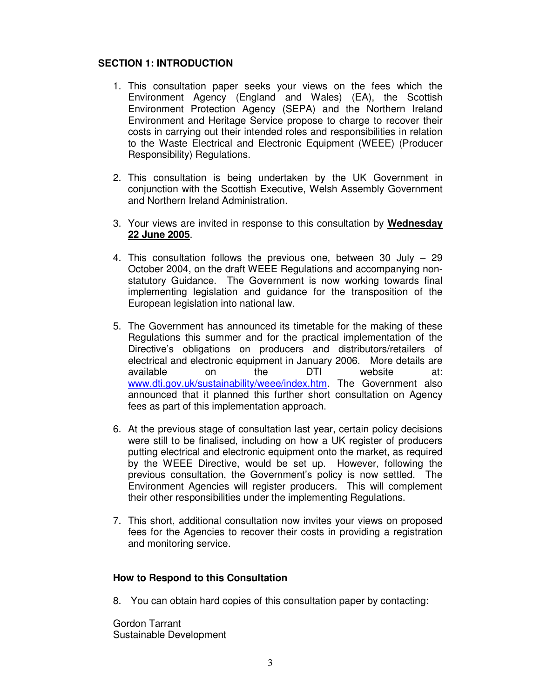# **SECTION 1: INTRODUCTION**

- 1. This consultation paper seeks your views on the fees which the Environment Agency (England and Wales) (EA), the Scottish Environment Protection Agency (SEPA) and the Northern Ireland Environment and Heritage Service propose to charge to recover their costs in carrying out their intended roles and responsibilities in relation to the Waste Electrical and Electronic Equipment (WEEE) (Producer Responsibility) Regulations.
- 2. This consultation is being undertaken by the UK Government in conjunction with the Scottish Executive, Welsh Assembly Government and Northern Ireland Administration.
- 3. Your views are invited in response to this consultation by **Wednesday 22 June 2005**.
- 4. This consultation follows the previous one, between 30 July 29 October 2004, on the draft WEEE Regulations and accompanying nonstatutory Guidance. The Government is now working towards final implementing legislation and guidance for the transposition of the European legislation into national law.
- 5. The Government has announced its timetable for the making of these Regulations this summer and for the practical implementation of the Directive's obligations on producers and distributors/retailers of electrical and electronic equipment in January 2006. More details are available on the DTI website at: www.dti.gov.uk/sustainability/weee/index.htm. The Government also announced that it planned this further short consultation on Agency fees as part of this implementation approach.
- 6. At the previous stage of consultation last year, certain policy decisions were still to be finalised, including on how a UK register of producers putting electrical and electronic equipment onto the market, as required by the WEEE Directive, would be set up. However, following the previous consultation, the Government's policy is now settled. The Environment Agencies will register producers. This will complement their other responsibilities under the implementing Regulations.
- 7. This short, additional consultation now invites your views on proposed fees for the Agencies to recover their costs in providing a registration and monitoring service.

## **How to Respond to this Consultation**

8. You can obtain hard copies of this consultation paper by contacting:

Gordon Tarrant Sustainable Development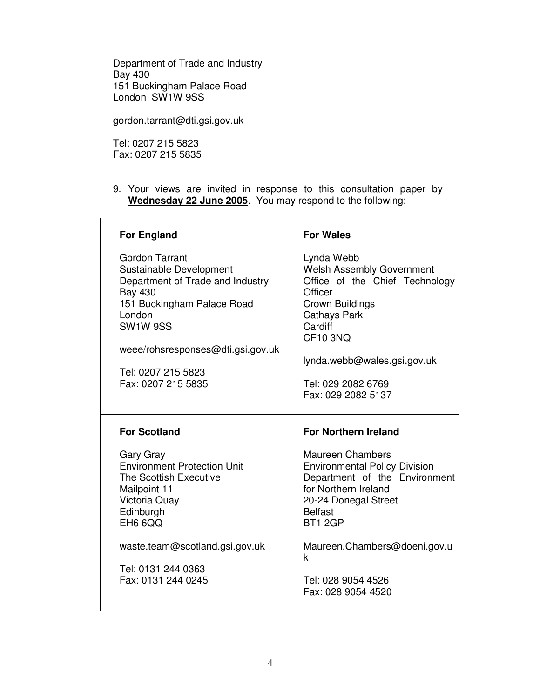Department of Trade and Industry Bay 430 151 Buckingham Palace Road London SW1W 9SS

gordon.tarrant@dti.gsi.gov.uk

Tel: 0207 215 5823 Fax: 0207 215 5835

9. Your views are invited in response to this consultation paper by **Wednesday 22 June 2005**. You may respond to the following:

| <b>For England</b>                                                                                                                                                                                                                          | <b>For Wales</b>                                                                                                                                                                                                                               |
|---------------------------------------------------------------------------------------------------------------------------------------------------------------------------------------------------------------------------------------------|------------------------------------------------------------------------------------------------------------------------------------------------------------------------------------------------------------------------------------------------|
| <b>Gordon Tarrant</b><br>Sustainable Development<br>Department of Trade and Industry<br><b>Bay 430</b><br>151 Buckingham Palace Road<br>London<br>SW1W 9SS<br>weee/rohsresponses@dti.gsi.gov.uk<br>Tel: 0207 215 5823<br>Fax: 0207 215 5835 | Lynda Webb<br><b>Welsh Assembly Government</b><br>Office of the Chief Technology<br>Officer<br>Crown Buildings<br><b>Cathays Park</b><br>Cardiff<br><b>CF10 3NQ</b><br>lynda.webb@wales.gsi.gov.uk<br>Tel: 029 2082 6769<br>Fax: 029 2082 5137 |
|                                                                                                                                                                                                                                             |                                                                                                                                                                                                                                                |
| <b>For Scotland</b>                                                                                                                                                                                                                         | <b>For Northern Ireland</b>                                                                                                                                                                                                                    |
| Gary Gray<br><b>Environment Protection Unit</b><br>The Scottish Executive<br>Mailpoint 11<br>Victoria Quay<br>Edinburgh<br><b>EH6 6QQ</b>                                                                                                   | <b>Maureen Chambers</b><br><b>Environmental Policy Division</b><br>Department of the Environment<br>for Northern Ireland<br>20-24 Donegal Street<br><b>Belfast</b><br>BT1 2GP                                                                  |
| waste.team@scotland.gsi.gov.uk                                                                                                                                                                                                              | Maureen.Chambers@doeni.gov.u<br>k                                                                                                                                                                                                              |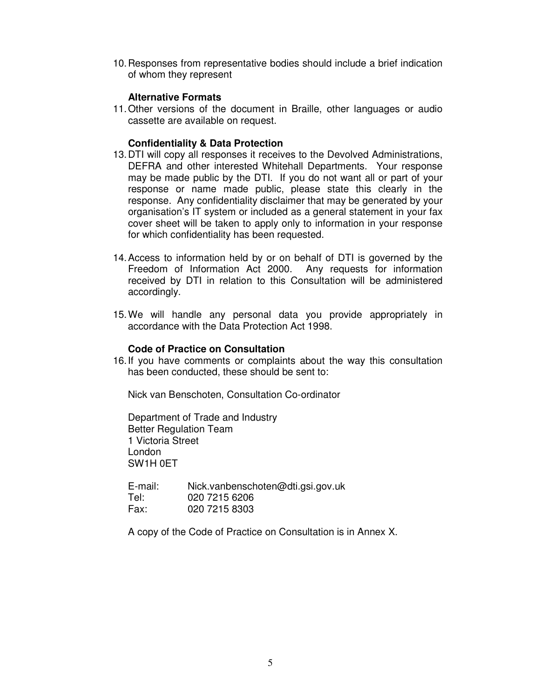10.Responses from representative bodies should include a brief indication of whom they represent

## **Alternative Formats**

11.Other versions of the document in Braille, other languages or audio cassette are available on request.

## **Confidentiality & Data Protection**

- 13.DTI will copy all responses it receives to the Devolved Administrations, DEFRA and other interested Whitehall Departments. Your response may be made public by the DTI. If you do not want all or part of your response or name made public, please state this clearly in the response. Any confidentiality disclaimer that may be generated by your organisation's IT system or included as a general statement in your fax cover sheet will be taken to apply only to information in your response for which confidentiality has been requested.
- 14.Access to information held by or on behalf of DTI is governed by the Freedom of Information Act 2000. Any requests for information received by DTI in relation to this Consultation will be administered accordingly.
- 15.We will handle any personal data you provide appropriately in accordance with the Data Protection Act 1998.

#### **Code of Practice on Consultation**

16.If you have comments or complaints about the way this consultation has been conducted, these should be sent to:

Nick van Benschoten, Consultation Co-ordinator

Department of Trade and Industry Better Regulation Team 1 Victoria Street London SW1H 0ET

E-mail: Nick.vanbenschoten@dti.gsi.gov.uk Tel: 020 7215 6206<br>Fax: 020 7215 8303 020 7215 8303

A copy of the Code of Practice on Consultation is in Annex X.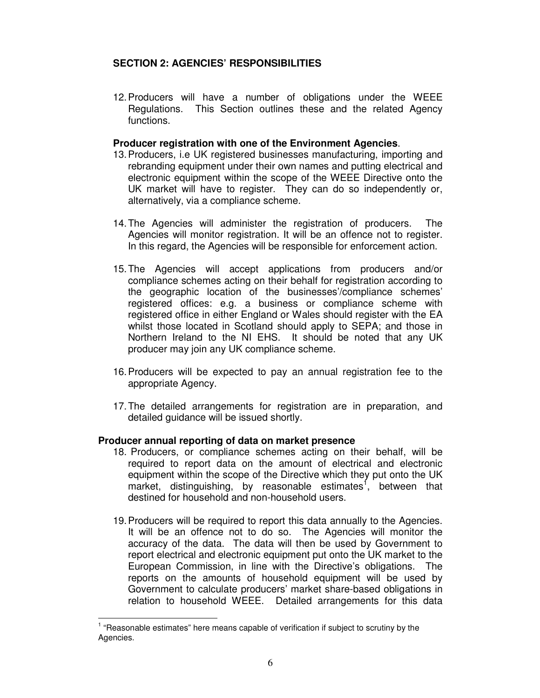# **SECTION 2: AGENCIES' RESPONSIBILITIES**

12.Producers will have a number of obligations under the WEEE Regulations. This Section outlines these and the related Agency functions.

### **Producer registration with one of the Environment Agencies**.

- 13.Producers, i.e UK registered businesses manufacturing, importing and rebranding equipment under their own names and putting electrical and electronic equipment within the scope of the WEEE Directive onto the UK market will have to register. They can do so independently or, alternatively, via a compliance scheme.
- 14.The Agencies will administer the registration of producers. The Agencies will monitor registration. It will be an offence not to register. In this regard, the Agencies will be responsible for enforcement action.
- 15.The Agencies will accept applications from producers and/or compliance schemes acting on their behalf for registration according to the geographic location of the businesses'/compliance schemes' registered offices: e.g. a business or compliance scheme with registered office in either England or Wales should register with the EA whilst those located in Scotland should apply to SEPA; and those in Northern Ireland to the NI EHS. It should be noted that any UK producer may join any UK compliance scheme.
- 16.Producers will be expected to pay an annual registration fee to the appropriate Agency.
- 17.The detailed arrangements for registration are in preparation, and detailed guidance will be issued shortly.

## **Producer annual reporting of data on market presence**

- 18. Producers, or compliance schemes acting on their behalf, will be required to report data on the amount of electrical and electronic equipment within the scope of the Directive which they put onto the UK market, distinguishing, by reasonable estimates<sup>1</sup>, between that destined for household and non-household users.
- 19.Producers will be required to report this data annually to the Agencies. It will be an offence not to do so. The Agencies will monitor the accuracy of the data. The data will then be used by Government to report electrical and electronic equipment put onto the UK market to the European Commission, in line with the Directive's obligations. The reports on the amounts of household equipment will be used by Government to calculate producers' market share-based obligations in relation to household WEEE. Detailed arrangements for this data

<sup>&</sup>lt;sup>1</sup> "Reasonable estimates" here means capable of verification if subject to scrutiny by the Agencies.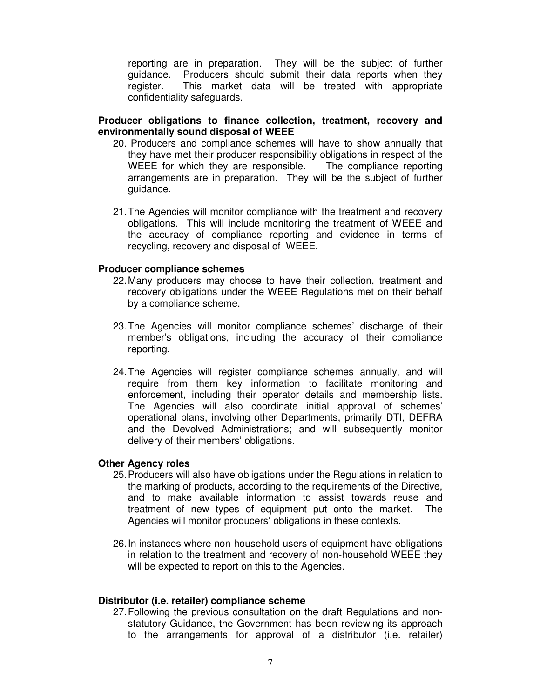reporting are in preparation. They will be the subject of further guidance. Producers should submit their data reports when they register. This market data will be treated with appropriate confidentiality safeguards.

### **Producer obligations to finance collection, treatment, recovery and environmentally sound disposal of WEEE**

- 20. Producers and compliance schemes will have to show annually that they have met their producer responsibility obligations in respect of the WEEE for which they are responsible. The compliance reporting arrangements are in preparation. They will be the subject of further guidance.
- 21.The Agencies will monitor compliance with the treatment and recovery obligations. This will include monitoring the treatment of WEEE and the accuracy of compliance reporting and evidence in terms of recycling, recovery and disposal of WEEE.

#### **Producer compliance schemes**

- 22.Many producers may choose to have their collection, treatment and recovery obligations under the WEEE Regulations met on their behalf by a compliance scheme.
- 23.The Agencies will monitor compliance schemes' discharge of their member's obligations, including the accuracy of their compliance reporting.
- 24.The Agencies will register compliance schemes annually, and will require from them key information to facilitate monitoring and enforcement, including their operator details and membership lists. The Agencies will also coordinate initial approval of schemes' operational plans, involving other Departments, primarily DTI, DEFRA and the Devolved Administrations; and will subsequently monitor delivery of their members' obligations.

#### **Other Agency roles**

- 25.Producers will also have obligations under the Regulations in relation to the marking of products, according to the requirements of the Directive, and to make available information to assist towards reuse and treatment of new types of equipment put onto the market. The Agencies will monitor producers' obligations in these contexts.
- 26.In instances where non-household users of equipment have obligations in relation to the treatment and recovery of non-household WEEE they will be expected to report on this to the Agencies.

#### **Distributor (i.e. retailer) compliance scheme**

27.Following the previous consultation on the draft Regulations and nonstatutory Guidance, the Government has been reviewing its approach to the arrangements for approval of a distributor (i.e. retailer)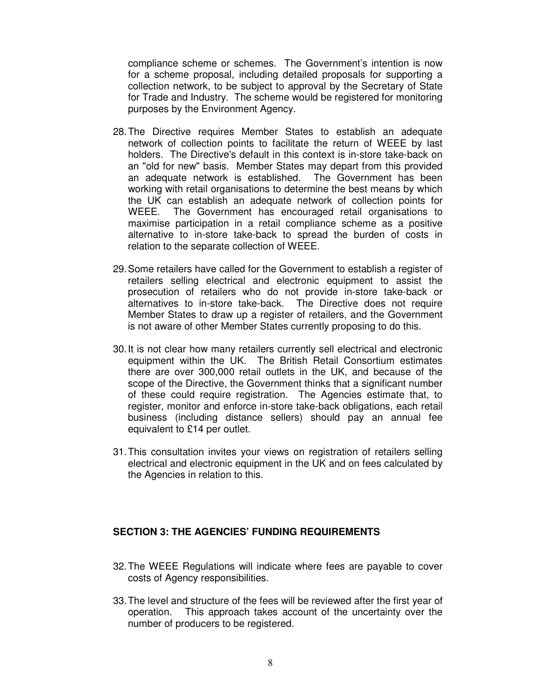compliance scheme or schemes. The Government's intention is now for a scheme proposal, including detailed proposals for supporting a collection network, to be subject to approval by the Secretary of State for Trade and Industry. The scheme would be registered for monitoring purposes by the Environment Agency.

- 28.The Directive requires Member States to establish an adequate network of collection points to facilitate the return of WEEE by last holders. The Directive's default in this context is in-store take-back on an "old for new" basis. Member States may depart from this provided an adequate network is established. The Government has been working with retail organisations to determine the best means by which the UK can establish an adequate network of collection points for WEEE. The Government has encouraged retail organisations to maximise participation in a retail compliance scheme as a positive alternative to in-store take-back to spread the burden of costs in relation to the separate collection of WEEE.
- 29.Some retailers have called for the Government to establish a register of retailers selling electrical and electronic equipment to assist the prosecution of retailers who do not provide in-store take-back or alternatives to in-store take-back. The Directive does not require Member States to draw up a register of retailers, and the Government is not aware of other Member States currently proposing to do this.
- 30.It is not clear how many retailers currently sell electrical and electronic equipment within the UK. The British Retail Consortium estimates there are over 300,000 retail outlets in the UK, and because of the scope of the Directive, the Government thinks that a significant number of these could require registration. The Agencies estimate that, to register, monitor and enforce in-store take-back obligations, each retail business (including distance sellers) should pay an annual fee equivalent to £14 per outlet.
- 31.This consultation invites your views on registration of retailers selling electrical and electronic equipment in the UK and on fees calculated by the Agencies in relation to this.

## **SECTION 3: THE AGENCIES' FUNDING REQUIREMENTS**

- 32.The WEEE Regulations will indicate where fees are payable to cover costs of Agency responsibilities.
- 33.The level and structure of the fees will be reviewed after the first year of operation. This approach takes account of the uncertainty over the number of producers to be registered.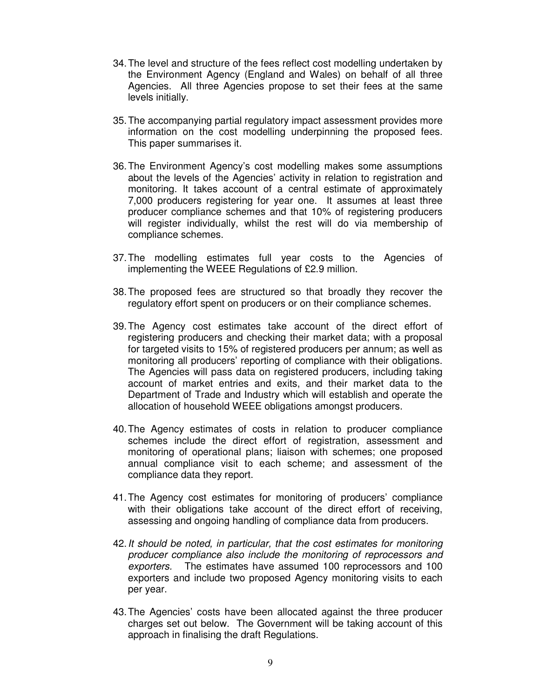- 34.The level and structure of the fees reflect cost modelling undertaken by the Environment Agency (England and Wales) on behalf of all three Agencies. All three Agencies propose to set their fees at the same levels initially.
- 35.The accompanying partial regulatory impact assessment provides more information on the cost modelling underpinning the proposed fees. This paper summarises it.
- 36.The Environment Agency's cost modelling makes some assumptions about the levels of the Agencies' activity in relation to registration and monitoring. It takes account of a central estimate of approximately 7,000 producers registering for year one. It assumes at least three producer compliance schemes and that 10% of registering producers will register individually, whilst the rest will do via membership of compliance schemes.
- 37.The modelling estimates full year costs to the Agencies of implementing the WEEE Regulations of £2.9 million.
- 38.The proposed fees are structured so that broadly they recover the regulatory effort spent on producers or on their compliance schemes.
- 39.The Agency cost estimates take account of the direct effort of registering producers and checking their market data; with a proposal for targeted visits to 15% of registered producers per annum; as well as monitoring all producers' reporting of compliance with their obligations. The Agencies will pass data on registered producers, including taking account of market entries and exits, and their market data to the Department of Trade and Industry which will establish and operate the allocation of household WEEE obligations amongst producers.
- 40.The Agency estimates of costs in relation to producer compliance schemes include the direct effort of registration, assessment and monitoring of operational plans; liaison with schemes; one proposed annual compliance visit to each scheme; and assessment of the compliance data they report.
- 41.The Agency cost estimates for monitoring of producers' compliance with their obligations take account of the direct effort of receiving, assessing and ongoing handling of compliance data from producers.
- 42.*It should be noted, in particular, that the cost estimates for monitoring producer compliance also include the monitoring of reprocessors and exporters.* The estimates have assumed 100 reprocessors and 100 exporters and include two proposed Agency monitoring visits to each per year.
- 43.The Agencies' costs have been allocated against the three producer charges set out below. The Government will be taking account of this approach in finalising the draft Regulations.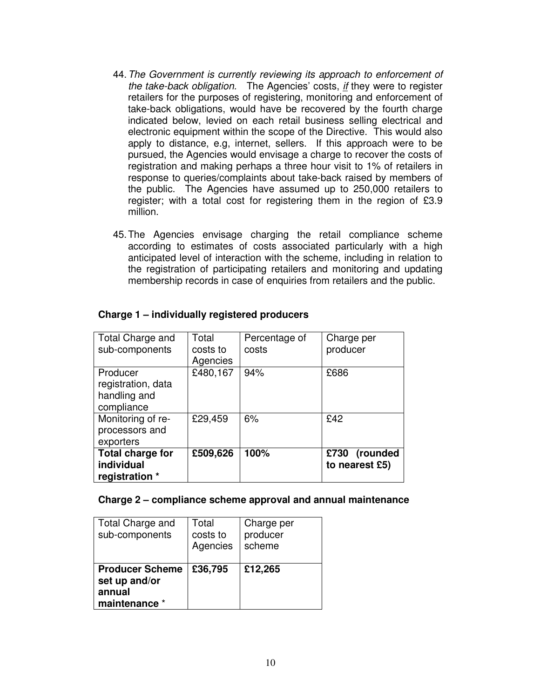- 44.*The Government is currently reviewing its approach to enforcement of the take-back obligation.* The Agencies' costs, *if* they were to register retailers for the purposes of registering, monitoring and enforcement of take-back obligations, would have be recovered by the fourth charge indicated below, levied on each retail business selling electrical and electronic equipment within the scope of the Directive. This would also apply to distance, e.g, internet, sellers. If this approach were to be pursued, the Agencies would envisage a charge to recover the costs of registration and making perhaps a three hour visit to 1% of retailers in response to queries/complaints about take-back raised by members of the public. The Agencies have assumed up to 250,000 retailers to register; with a total cost for registering them in the region of £3.9 million.
- 45.The Agencies envisage charging the retail compliance scheme according to estimates of costs associated particularly with a high anticipated level of interaction with the scheme, including in relation to the registration of participating retailers and monitoring and updating membership records in case of enquiries from retailers and the public.

| Total Charge and<br>sub-components                           | Total<br>costs to<br>Agencies | Percentage of<br>costs | Charge per<br>producer          |
|--------------------------------------------------------------|-------------------------------|------------------------|---------------------------------|
| Producer<br>registration, data<br>handling and<br>compliance | £480,167                      | 94%                    | £686                            |
| Monitoring of re-<br>processors and<br>exporters             | £29,459                       | 6%                     | £42                             |
| <b>Total charge for</b><br>individual<br>registration *      | £509,626                      | 100%                   | £730 (rounded<br>to nearest £5) |

## **Charge 1 – individually registered producers**

#### **Charge 2 – compliance scheme approval and annual maintenance**

| Total Charge and<br>sub-components                                 | Total<br>costs to<br>Agencies | Charge per<br>producer<br>scheme |
|--------------------------------------------------------------------|-------------------------------|----------------------------------|
| <b>Producer Scheme</b><br>set up and/or<br>annual<br>maintenance * | £36,795                       | £12,265                          |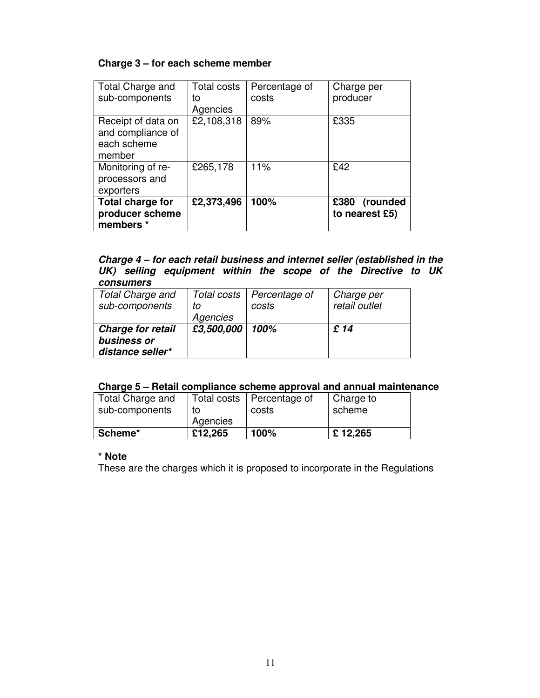# **Charge 3 – for each scheme member**

| Total Charge and<br>sub-components                               | Total costs<br>to<br>Agencies | Percentage of<br>costs | Charge per<br>producer          |
|------------------------------------------------------------------|-------------------------------|------------------------|---------------------------------|
| Receipt of data on<br>and compliance of<br>each scheme<br>member | £2,108,318                    | 89%                    | £335                            |
| Monitoring of re-<br>processors and<br>exporters                 | £265,178                      | 11%                    | £42                             |
| <b>Total charge for</b><br>producer scheme<br>members *          | £2,373,496                    | 100%                   | £380 (rounded<br>to nearest £5) |

#### *Charge 4 – for each retail business and internet seller (established in the UK) selling equipment within the scope of the Directive to UK consumers*

| <b>Total Charge and</b>  |            | Total costs   Percentage of | Charge per    |
|--------------------------|------------|-----------------------------|---------------|
| sub-components           | to         | costs                       | retail outlet |
|                          | Agencies   |                             |               |
| <b>Charge for retail</b> | £3,500,000 | 100%                        | £ 14          |
| business or              |            |                             |               |
| distance seller*         |            |                             |               |

# **Charge 5 – Retail compliance scheme approval and annual maintenance**

| Total Charge and |          | Total costs   Percentage of | Charge to |
|------------------|----------|-----------------------------|-----------|
| sub-components   | το       | costs                       | scheme    |
|                  | Agencies |                             |           |
| Scheme*          | £12.265  | 100%                        | £12,265   |

# **\* Note**

These are the charges which it is proposed to incorporate in the Regulations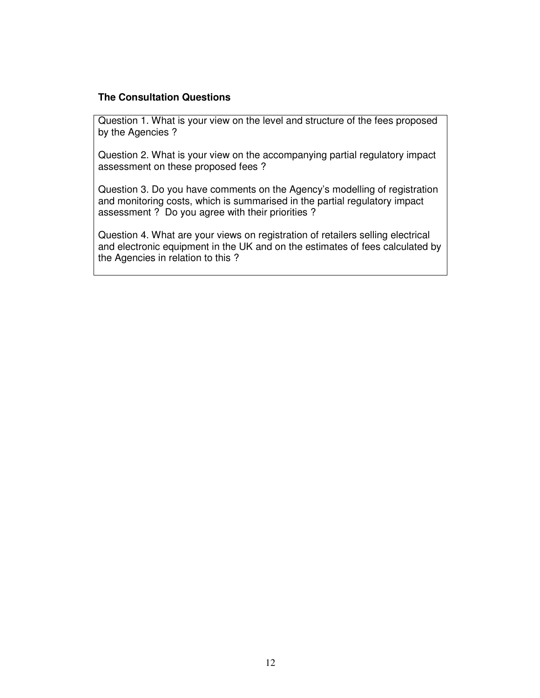# **The Consultation Questions**

Question 1. What is your view on the level and structure of the fees proposed by the Agencies ?

Question 2. What is your view on the accompanying partial regulatory impact assessment on these proposed fees ?

Question 3. Do you have comments on the Agency's modelling of registration and monitoring costs, which is summarised in the partial regulatory impact assessment ? Do you agree with their priorities ?

Question 4. What are your views on registration of retailers selling electrical and electronic equipment in the UK and on the estimates of fees calculated by the Agencies in relation to this ?